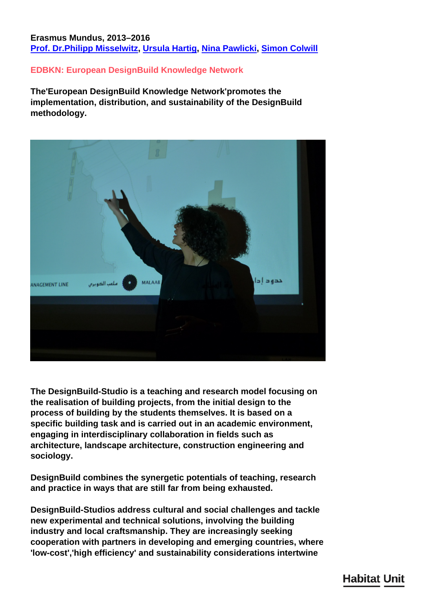## **Erasmus Mundus, 2013–2016 [Prof. Dr.Philipp Misselwitz,](/en/team/philipp-misselwitz/) [Ursula Hartig,](/en/team/ursula-hartig/) [Nina Pawlicki,](/en/team/nina-pawlicki/) [Simon Colwill](/en/team/simon-colwill/)**

## **EDBKN: European DesignBuild Knowledge Network**

**The'European DesignBuild Knowledge Network'promotes the implementation, distribution, and sustainability of the DesignBuild methodology.**



**The DesignBuild-Studio is a teaching and research model focusing on the realisation of building projects, from the initial design to the process of building by the students themselves. It is based on a specific building task and is carried out in an academic environment, engaging in interdisciplinary collaboration in fields such as architecture, landscape architecture, construction engineering and sociology.**

**DesignBuild combines the synergetic potentials of teaching, research and practice in ways that are still far from being exhausted.**

**DesignBuild-Studios address cultural and social challenges and tackle new experimental and technical solutions, involving the building industry and local craftsmanship. They are increasingly seeking cooperation with partners in developing and emerging countries, where 'low-cost','high efficiency' and sustainability considerations intertwine**

# **Habitat Unit**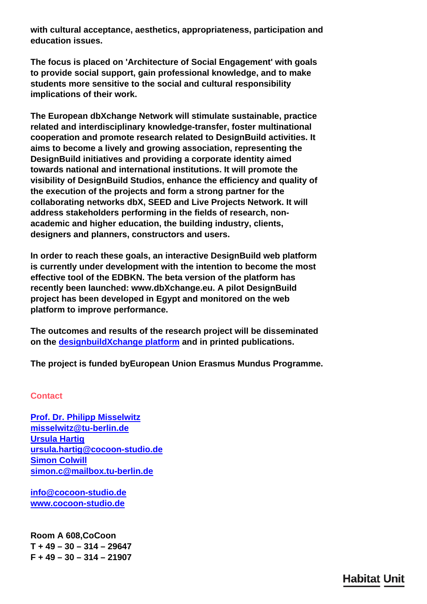**with cultural acceptance, aesthetics, appropriateness, participation and education issues.**

**The focus is placed on 'Architecture of Social Engagement' with goals to provide social support, gain professional knowledge, and to make students more sensitive to the social and cultural responsibility implications of their work.**

**The European dbXchange Network will stimulate sustainable, practice related and interdisciplinary knowledge-transfer, foster multinational cooperation and promote research related to DesignBuild activities. It aims to become a lively and growing association, representing the DesignBuild initiatives and providing a corporate identity aimed towards national and international institutions. It will promote the visibility of DesignBuild Studios, enhance the efficiency and quality of the execution of the projects and form a strong partner for the collaborating networks dbX, SEED and Live Projects Network. It will address stakeholders performing in the fields of research, nonacademic and higher education, the building industry, clients, designers and planners, constructors and users.**

**In order to reach these goals, an interactive DesignBuild web platform is currently under development with the intention to become the most effective tool of the EDBKN. The beta version of the platform has recently been launched: www.dbXchange.eu. A pilot DesignBuild project has been developed in Egypt and monitored on the web platform to improve performance.**

**The outcomes and results of the research project will be disseminated on the [designbuildXchange platform](http://edbkn.service.tu-berlin.de/edbkn/) and in printed publications.**

**The project is funded byEuropean Union Erasmus Mundus Programme.**

#### **Contact**

**[Prof. Dr. Philipp Misselwitz](/en/team/nina-pawlicki/) [misselwitz@tu-berlin.de](mailto:misselwitz@tu-berlin.de) [Ursula Hartig](/en/team/ursula-hartig/) [ursula.hartig@cocoon-studio.de](mailto:ursula.hartig@cocoon-studio.de) [Simon Colwill](/en/team/simon-colwill/) [simon.c@mailbox.tu-berlin.de](mailto:simon.c@mailbox.tu-berlin.de)**

**[info@cocoon-studio.de](mailto:info@cocoon-studio.de) [www.cocoon-studio.de](http://www.cocoon-studio.de)**

**Room A 608,CoCoon T + 49 – 30 – 314 – 29647 F + 49 – 30 – 314 – 21907**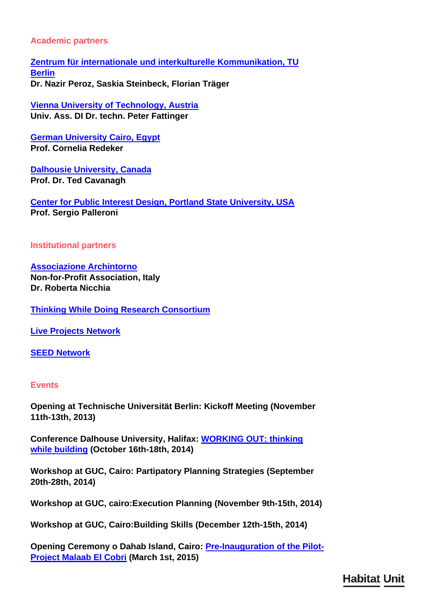## **Academic partners**

**[Zentrum für internationale und interkulturelle Kommunikation, TU](http://www.tu-berlin.de/ziik) [Berlin](http://www.tu-berlin.de/ziik) Dr. Nazir Peroz, Saskia Steinbeck, Florian Träger**

**[Vienna University of Technology, Austria](http://www.design-build.at) Univ. Ass. DI Dr. techn. Peter Fattinger**

**[German University Cairo, Egypt](http://www.guc.edu.eg) Prof. Cornelia Redeker**

**[Dalhousie University, Canada](http://dalcoastalstudio.blogspot.ca) Prof. Dr. Ted Cavanagh**

**[Center for Public Interest Design, Portland State University, USA](http://www.pdx.edu/public-interest-design/) Prof. Sergio Palleroni**

**Institutional partners**

**[Associazione Archintorno](http://www.archintorno.org) Non-for-Profit Association, Italy Dr. Roberta Nicchia**

**[Thinking While Doing Research Consortium](http://www.db-x.org/twd/)**

**[Live Projects Network](http://liveprojectsnetwork.org)**

**[SEED Network](http://www.seed-network.org)**

#### **Events**

**Opening at Technische Universität Berlin: Kickoff Meeting (November 11th-13th, 2013)**

**Conference Dalhouse University, Halifax: [WORKING OUT: thinking](http://www.acsa-arch.org/programs-events/conferences/fall-conference/2014-fall-conference) [while building](http://www.acsa-arch.org/programs-events/conferences/fall-conference/2014-fall-conference) (October 16th-18th, 2014)**

**Workshop at GUC, Cairo: Partipatory Planning Strategies (September 20th-28th, 2014)**

**Workshop at GUC, cairo:Execution Planning (November 9th-15th, 2014)**

**Workshop at GUC, Cairo:Building Skills (December 12th-15th, 2014)**

**Opening Ceremony o Dahab Island, Cairo: [Pre-Inauguration of the Pilot-](http://edbkn.service.tu-berlin.de/edbkn/?q=node/477)[Project Malaab El Cobri](http://edbkn.service.tu-berlin.de/edbkn/?q=node/477) (March 1st, 2015)**

**Habitat Unit**